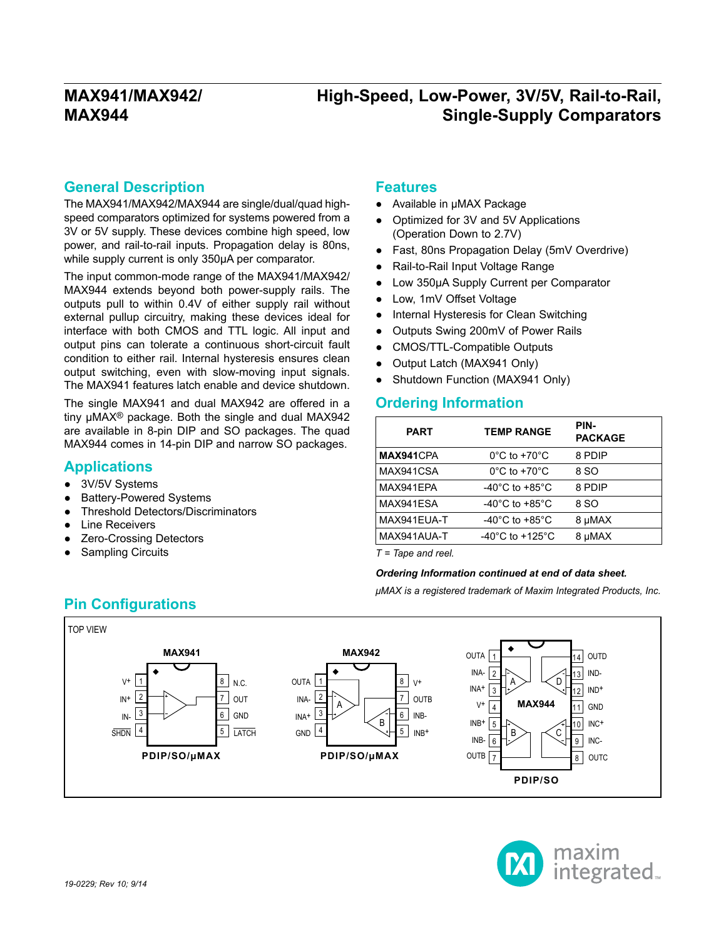## **High-Speed, Low-Power, 3V/5V, Rail-to-Rail, Single-Supply Comparators**

#### **General Description**

The MAX941/MAX942/MAX944 are single/dual/quad highspeed comparators optimized for systems powered from a 3V or 5V supply. These devices combine high speed, low power, and rail-to-rail inputs. Propagation delay is 80ns, while supply current is only 350μA per comparator.

The input common-mode range of the MAX941/MAX942/ MAX944 extends beyond both power-supply rails. The outputs pull to within 0.4V of either supply rail without external pullup circuitry, making these devices ideal for interface with both CMOS and TTL logic. All input and output pins can tolerate a continuous short-circuit fault condition to either rail. Internal hysteresis ensures clean output switching, even with slow-moving input signals. The MAX941 features latch enable and device shutdown.

The single MAX941 and dual MAX942 are offered in a tiny μMAX® package. Both the single and dual MAX942 are available in 8-pin DIP and SO packages. The quad MAX944 comes in 14-pin DIP and narrow SO packages.

#### **Applications**

- 3V/5V Systems
- **Battery-Powered Systems**
- **Threshold Detectors/Discriminators**
- **Line Receivers**
- **Zero-Crossing Detectors**
- Sampling Circuits

#### **Features**

- Available in μMAX Package
- Optimized for 3V and 5V Applications (Operation Down to 2.7V)
- Fast, 80ns Propagation Delay (5mV Overdrive)
- Rail-to-Rail Input Voltage Range
- Low 350μA Supply Current per Comparator
- Low, 1mV Offset Voltage
- Internal Hysteresis for Clean Switching
- Outputs Swing 200mV of Power Rails
- CMOS/TTL-Compatible Outputs
- Output Latch (MAX941 Only)
- Shutdown Function (MAX941 Only)

#### **Ordering Information**

| <b>PART</b> | <b>TEMP RANGE</b>                     | PIN-<br><b>PACKAGE</b> |
|-------------|---------------------------------------|------------------------|
| MAX941CPA   | $0^{\circ}$ C to +70 $^{\circ}$ C     | 8 PDIP                 |
| MAX941CSA   | $0^{\circ}$ C to +70 $^{\circ}$ C     | 8 SO                   |
| MAX941EPA   | $-40^{\circ}$ C to $+85^{\circ}$ C    | 8 PDIP                 |
| MAX941ESA   | -40 $^{\circ}$ C to +85 $^{\circ}$ C  | 8 SO                   |
| MAX941EUA-T | -40 $^{\circ}$ C to +85 $^{\circ}$ C  | 8 µMAX                 |
| MAX941AUA-T | -40 $^{\circ}$ C to +125 $^{\circ}$ C | 8 µMAX                 |

*T = Tape and reel.*

#### *Ordering Information continued at end of data sheet.*

*μMAX is a registered trademark of Maxim Integrated Products, Inc.*



# **Pin Configurations**

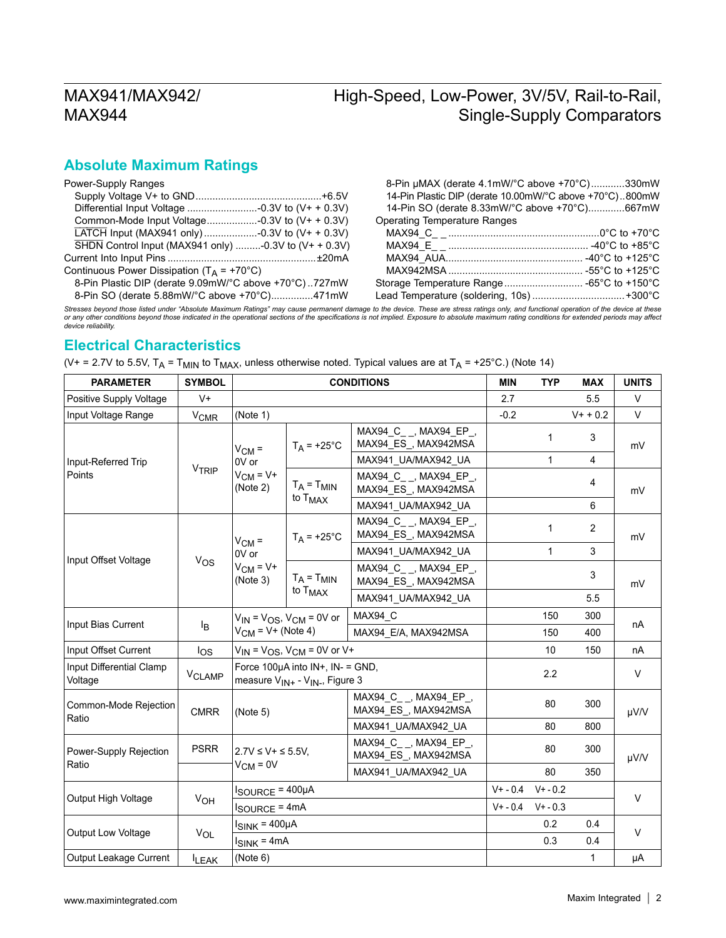# High-Speed, Low-Power, 3V/5V, Rail-to-Rail, Single-Supply Comparators

#### **Absolute Maximum Ratings**

| Power-Supply Ranges                                                       |  |
|---------------------------------------------------------------------------|--|
|                                                                           |  |
|                                                                           |  |
|                                                                           |  |
| LATCH Input (MAX941 only)  -0.3V to (V+ + 0.3V)                           |  |
| $\overline{\text{SHDN}}$ Control Input (MAX941 only) -0.3V to (V+ + 0.3V) |  |
|                                                                           |  |
| Continuous Power Dissipation ( $T_A$ = +70°C)                             |  |
| 8-Pin Plastic DIP (derate 9.09mW/°C above +70°C)727mW                     |  |
| 8-Pin SO (derate 5.88mW/°C above +70°C)471mW                              |  |

| 8-Pin µMAX (derate 4.1mW/°C above +70°C)330mW           |
|---------------------------------------------------------|
| 14-Pin Plastic DIP (derate 10.00mW/°C above +70°C)800mW |
| 14-Pin SO (derate 8.33mW/°C above +70°C)667mW           |
| <b>Operating Temperature Ranges</b>                     |
|                                                         |
|                                                         |
|                                                         |
|                                                         |
|                                                         |
| Lead Temperature (soldering, 10s) +300°C                |

Stresses beyond those listed under "Absolute Maximum Ratings" may cause permanent damage to the device. These are stress ratings only, and functional operation of the device at these<br>or any other conditions beyond those in

#### **Electrical Characteristics**

| (V+ = 2.7V to 5.5V, T <sub>A</sub> = T <sub>MIN</sub> to T <sub>MAX</sub> , unless otherwise noted. Typical values are at T <sub>A</sub> = +25°C.) (Note 14) |  |  |  |
|--------------------------------------------------------------------------------------------------------------------------------------------------------------|--|--|--|
|--------------------------------------------------------------------------------------------------------------------------------------------------------------|--|--|--|

| <b>PARAMETER</b>                    | <b>SYMBOL</b>      | <b>CONDITIONS</b>                      |                                                                                                      |                                                 | <b>MIN</b> | <b>TYP</b>   | <b>MAX</b>     | <b>UNITS</b> |
|-------------------------------------|--------------------|----------------------------------------|------------------------------------------------------------------------------------------------------|-------------------------------------------------|------------|--------------|----------------|--------------|
| Positive Supply Voltage             | $V +$              |                                        |                                                                                                      |                                                 |            |              | 5.5            | $\vee$       |
| Input Voltage Range                 | $V_{CMR}$          | (Note 1)                               |                                                                                                      |                                                 | $-0.2$     |              | $V+ + 0.2$     | V            |
|                                     |                    | $V_{CM}$ =                             | $T_A$ = +25°C                                                                                        | MAX94_C_ _, MAX94_EP_,<br>MAX94_ES_, MAX942MSA  |            | $\mathbf{1}$ | 3              | mV           |
| Input-Referred Trip                 |                    | 0V or                                  |                                                                                                      | MAX941_UA/MAX942_UA                             |            | 1            | 4              |              |
| Points                              | VTRIP              | $V_{CM} = V +$<br>(Note 2)             | $T_A = T_{MIN}$                                                                                      | MAX94 C __ , MAX94_EP_,<br>MAX94_ES_, MAX942MSA |            |              | 4              | mV           |
|                                     |                    |                                        | to T <sub>MAX</sub>                                                                                  | MAX941_UA/MAX942_UA                             |            |              | 6              |              |
|                                     |                    | $V_{CM}$ =                             | $T_A$ = +25°C                                                                                        | MAX94 C _, MAX94 EP _,<br>MAX94_ES_, MAX942MSA  |            | 1            | $\overline{2}$ | mV<br>mV     |
|                                     |                    | 0V or                                  |                                                                                                      | MAX941_UA/MAX942_UA                             |            | 1            | 3              |              |
| Input Offset Voltage                | $V_{OS}$           | $V_{CM} = V +$<br>(Note 3)             | $T_A = T_{MIN}$<br>to $T_{MAX}$                                                                      | MAX94_C_ _, MAX94_EP_,<br>MAX94_ES_, MAX942MSA  |            |              | 3              |              |
|                                     |                    |                                        |                                                                                                      | MAX941_UA/MAX942_UA                             |            |              | 5.5            |              |
|                                     | Iв                 |                                        | $V_{IN}$ = $V_{OS}$ , $V_{CM}$ = 0V or                                                               | MAX94_C                                         |            | 150          | 300            | nA           |
| Input Bias Current                  |                    | $V_{CM}$ = V+ (Note 4)                 |                                                                                                      | MAX94_E/A, MAX942MSA                            |            | 150          | 400            |              |
| Input Offset Current                | log                |                                        | $V_{IN}$ = $V_{OS}$ , $V_{CM}$ = 0V or V+                                                            |                                                 |            | 10           | 150            | nA           |
| Input Differential Clamp<br>Voltage | V <sub>CLAMP</sub> |                                        | Force $100\mu A$ into $IN+$ , $IN-$ = GND,<br>measure V <sub>IN+</sub> - V <sub>IN-</sub> , Figure 3 |                                                 |            | 2.2          |                | $\vee$       |
| Common-Mode Rejection<br>Ratio      | <b>CMRR</b>        | (Note 5)                               |                                                                                                      | MAX94_C_ _, MAX94_EP_,<br>MAX94_ES_, MAX942MSA  |            | 80           | 300            | µV/V         |
|                                     |                    |                                        |                                                                                                      | MAX941_UA/MAX942_UA                             |            | 80           | 800            |              |
| Power-Supply Rejection              | <b>PSRR</b>        | $2.7V \le V + \le 5.5V$ ,              |                                                                                                      | MAX94_C_ _, MAX94_EP_,<br>MAX94_ES_, MAX942MSA  |            | 80           | 300            | µV/V         |
| Ratio                               |                    | $V_{CM} = 0V$                          |                                                                                                      | MAX941_UA/MAX942_UA                             |            | 80           | 350            |              |
| Output High Voltage                 | V <sub>OH</sub>    | $I_{\text{SOURCE}} = 400 \mu \text{A}$ |                                                                                                      |                                                 | $V + -0.4$ | $V + -0.2$   |                |              |
|                                     |                    | I <sub>SOURCE</sub> = 4mA              |                                                                                                      | $V + - 0.4$                                     | $V + -0.3$ |              | $\vee$         |              |
|                                     |                    |                                        | $I_{SINK} = 400 \mu A$<br>$I_{\text{SINK}}$ = 4mA                                                    |                                                 |            | 0.2          | 0.4            | $\vee$       |
| Output Low Voltage                  | VOL                |                                        |                                                                                                      |                                                 |            | 0.3          | 0.4            |              |
| Output Leakage Current              | <b>ILEAK</b>       | (Note 6)                               |                                                                                                      |                                                 |            |              | $\mathbf{1}$   | μA           |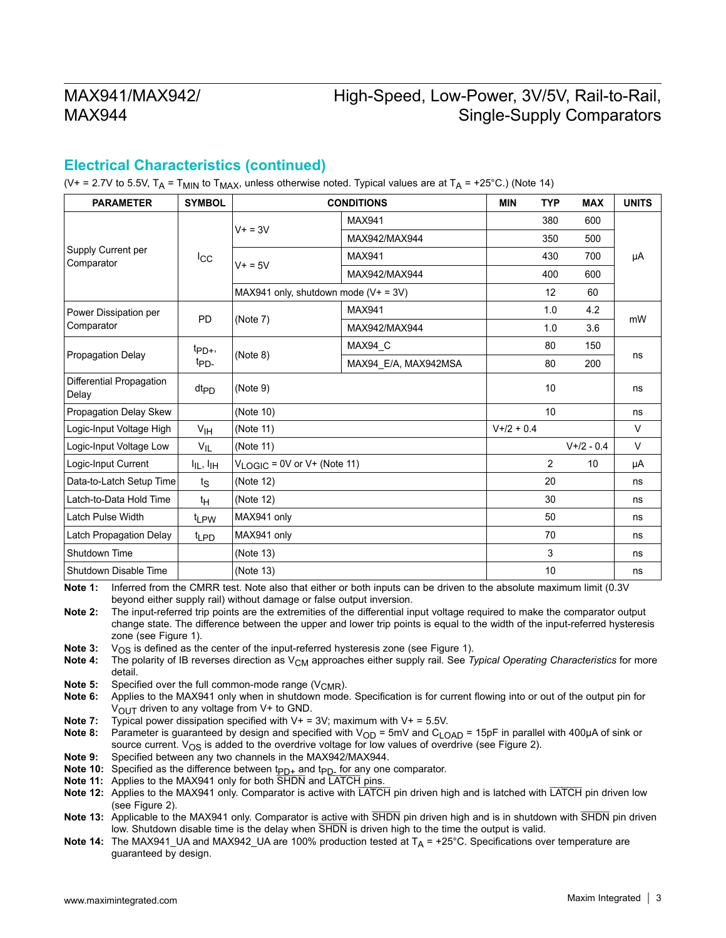## High-Speed, Low-Power, 3V/5V, Rail-to-Rail, Single-Supply Comparators

#### **Electrical Characteristics (continued)**

(V+ = 2.7V to 5.5V,  $T_A = T_{MIN}$  to  $T_{MAX}$ , unless otherwise noted. Typical values are at  $T_A = +25^{\circ}$ C.) (Note 14)

| <b>PARAMETER</b>                  | <b>SYMBOL</b>                |                                        | <b>CONDITIONS</b>    | <b>MIN</b>  | <b>TYP</b>      | <b>MAX</b>  | <b>UNITS</b> |
|-----------------------------------|------------------------------|----------------------------------------|----------------------|-------------|-----------------|-------------|--------------|
|                                   |                              | $V + = 3V$                             | <b>MAX941</b>        |             | 380             | 600         |              |
|                                   |                              |                                        | MAX942/MAX944        |             | 350             | 500         |              |
| Supply Current per<br>Comparator  | $_{\rm{lcc}}$                | $V + = 5V$                             | <b>MAX941</b>        |             | 430             | 700         | μA           |
|                                   |                              |                                        | MAX942/MAX944        |             | 400             | 600         |              |
|                                   |                              | MAX941 only, shutdown mode $(V+ = 3V)$ |                      |             | 12              | 60          |              |
| Power Dissipation per             |                              |                                        | <b>MAX941</b>        |             | 1.0             | 4.2         |              |
| <b>PD</b><br>Comparator           |                              | (Note 7)                               | MAX942/MAX944        |             | 1.0             | 3.6         | mW           |
|                                   | $tp_{D+}$<br>t <sub>PD</sub> |                                        | MAX94_C              |             | 80              | 150         | ns           |
| <b>Propagation Delay</b>          |                              | (Note 8)                               | MAX94_E/A, MAX942MSA |             | 80              | 200         |              |
| Differential Propagation<br>Delay | $dt_{PD}$                    | (Note 9)                               |                      |             | 10              |             | ns           |
| Propagation Delay Skew            |                              | (Note 10)                              |                      |             | 10 <sup>1</sup> |             | ns           |
| Logic-Input Voltage High          | V <sub>IH</sub>              | (Note 11)                              |                      | $V+2 + 0.4$ |                 |             | V            |
| Logic-Input Voltage Low           | $V_{IL}$                     | (Note 11)                              |                      |             |                 | $V+2 - 0.4$ | $\vee$       |
| Logic-Input Current               | $I_{IL}$ , $I_{IH}$          | $V_{LOGIC} = 0V$ or V+ (Note 11)       |                      |             | $\overline{2}$  | 10          | μA           |
| Data-to-Latch Setup Time          | $t_{\rm S}$                  | (Note 12)                              |                      |             | 20              |             | ns           |
| Latch-to-Data Hold Time           | $t_H$                        | (Note 12)                              |                      |             | 30              |             | ns           |
| <b>Latch Pulse Width</b>          | t <sub>LPW</sub>             | MAX941 only                            |                      |             | 50              |             | ns           |
| Latch Propagation Delay           | t <sub>LPD</sub>             | MAX941 only                            |                      |             | 70              |             | ns           |
| Shutdown Time                     |                              | (Note 13)                              |                      |             | 3               |             | ns           |
| Shutdown Disable Time             |                              | (Note 13)                              |                      |             | 10              |             | ns           |

**Note 1:** Inferred from the CMRR test. Note also that either or both inputs can be driven to the absolute maximum limit (0.3V beyond either supply rail) without damage or false output inversion.

**Note 2:** The input-referred trip points are the extremities of the differential input voltage required to make the comparator output change state. The difference between the upper and lower trip points is equal to the width of the input-referred hysteresis zone (see Figure 1).

**Note 3:**  $V_{OS}$  is defined as the center of the input-referred hysteresis zone (see Figure 1).<br>**Note 4:** The polarity of IB reverses direction as  $V_{CM}$  approaches either supply rail. See 7

The polarity of IB reverses direction as V<sub>CM</sub> approaches either supply rail. See *Typical Operating Characteristics* for more detail.

**Note 5:** Specified over the full common-mode range (V<sub>CMR</sub>).<br>**Note 6:** Applies to the MAX941 only when in shutdown mode

- **Note 6:** Applies to the MAX941 only when in shutdown mode. Specification is for current flowing into or out of the output pin for  $V_{\text{OUT}}$  driven to any voltage from V+ to GND.
- **Note 7:** Typical power dissipation specified with V+ = 3V; maximum with V+ = 5.5V.

Note 8: Parameter is guaranteed by design and specified with V<sub>OD</sub> = 5mV and C<sub>LOAD</sub> = 15pF in parallel with 400μA of sink or source current.  $V_{OS}$  is added to the overdrive voltage for low values of overdrive (see Figure 2).

- **Note 9:** Specified between any two channels in the MAX942/MAX944.
- **Note 10:** Specified as the difference between t<sub>PD+</sub> and t<sub>PD-</sub> for any one comparator.
- **Note 11:** Applies to the MAX941 only for both SHDN and LATCH pins.
- **Note 12:** Applies to the MAX941 only. Comparator is active with LATCH pin driven high and is latched with LATCH pin driven low (see Figure 2).

**Note 13:** Applicable to the MAX941 only. Comparator is active with SHDN pin driven high and is in shutdown with SHDN pin driven low. Shutdown disable time is the delay when SHDN is driven high to the time the output is valid.

**Note 14:** The MAX941\_UA and MAX942\_UA are 100% production tested at T<sub>A</sub> = +25°C. Specifications over temperature are guaranteed by design.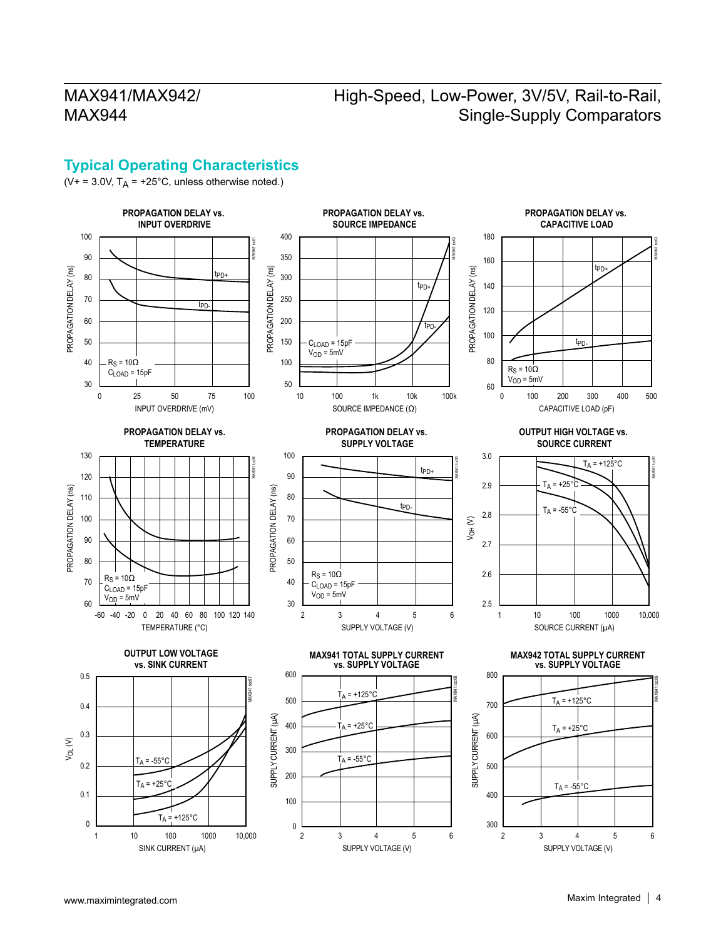# High-Speed, Low-Power, 3V/5V, Rail-to-Rail, Single-Supply Comparators

#### **Typical Operating Characteristics**

( $V+ = 3.0V$ ,  $T_A = +25^{\circ}C$ , unless otherwise noted.)

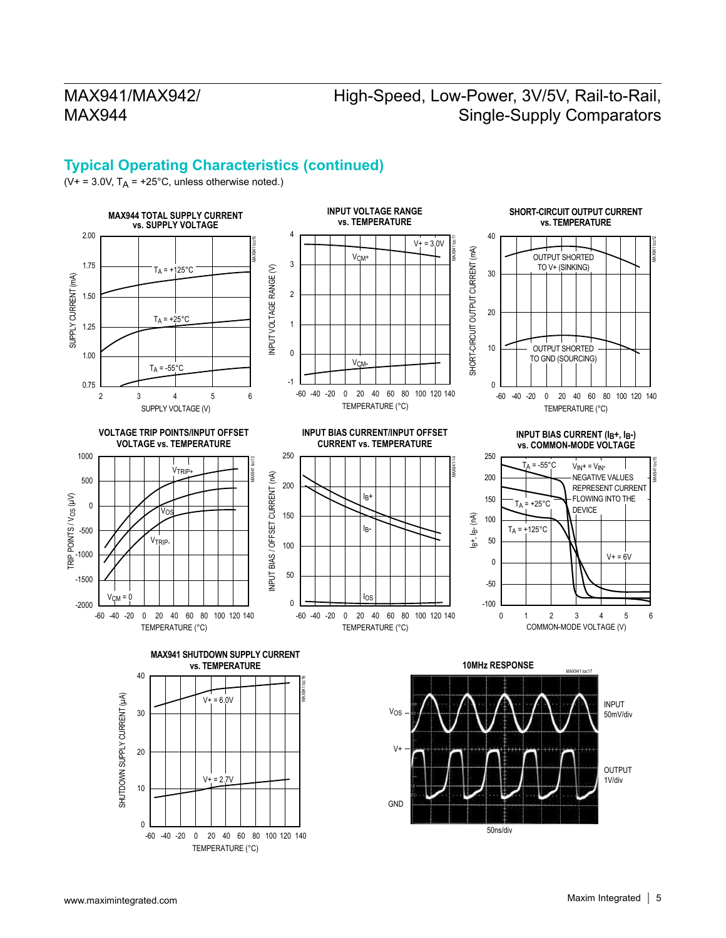## High-Speed, Low-Power, 3V/5V, Rail-to-Rail, Single-Supply Comparators

#### **Typical Operating Characteristics (continued)**

( $V^+$  = 3.0V,  $T_A$  = +25°C, unless otherwise noted.)

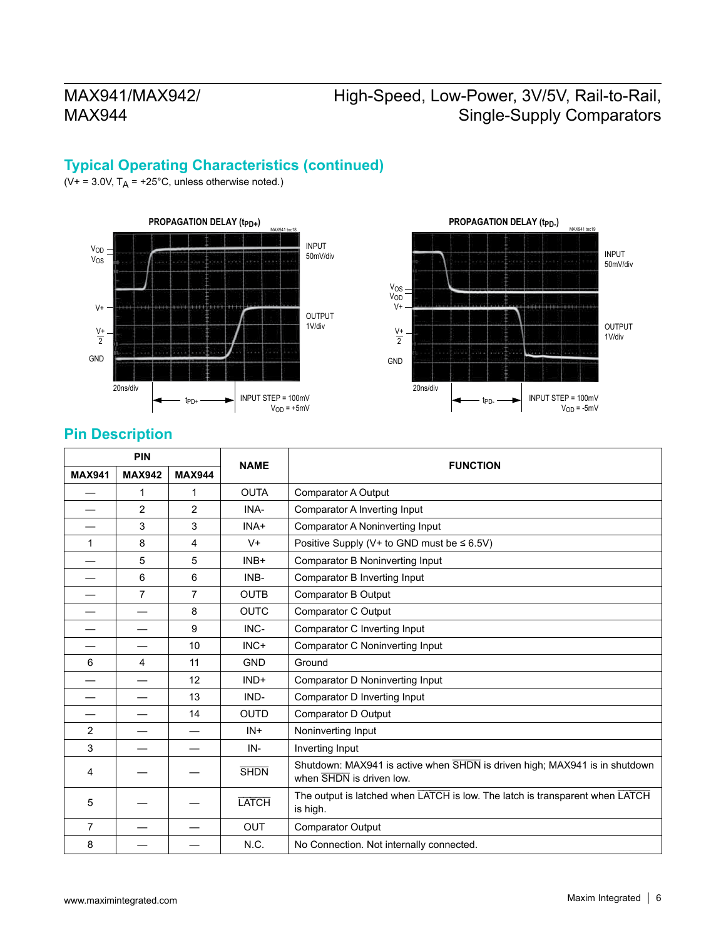# High-Speed, Low-Power, 3V/5V, Rail-to-Rail, Single-Supply Comparators

#### **Typical Operating Characteristics (continued)**

( $V+ = 3.0V$ ,  $T_A = +25^{\circ}C$ , unless otherwise noted.)





#### **Pin Description**

| <b>PIN</b>     |                |                | <b>FUNCTION</b> |                                                                                                        |  |
|----------------|----------------|----------------|-----------------|--------------------------------------------------------------------------------------------------------|--|
| <b>MAX941</b>  | <b>MAX942</b>  | <b>MAX944</b>  | <b>NAME</b>     |                                                                                                        |  |
|                | 1              | 1              | <b>OUTA</b>     | <b>Comparator A Output</b>                                                                             |  |
|                | $\overline{2}$ | 2              | INA-            | Comparator A Inverting Input                                                                           |  |
|                | 3              | 3              | INA+            | Comparator A Noninverting Input                                                                        |  |
| 1              | 8              | 4              | $V +$           | Positive Supply (V+ to GND must be $\leq 6.5V$ )                                                       |  |
|                | 5              | 5              | $INB+$          | Comparator B Noninverting Input                                                                        |  |
|                | 6              | 6              | INB-            | Comparator B Inverting Input                                                                           |  |
|                | $\overline{7}$ | $\overline{7}$ | <b>OUTB</b>     | Comparator B Output                                                                                    |  |
|                |                | 8              | <b>OUTC</b>     | Comparator C Output                                                                                    |  |
|                |                | 9              | INC-            | Comparator C Inverting Input                                                                           |  |
|                |                | 10             | INC+            | Comparator C Noninverting Input                                                                        |  |
| 6              | 4              | 11             | <b>GND</b>      | Ground                                                                                                 |  |
|                |                | 12             | $IND+$          | Comparator D Noninverting Input                                                                        |  |
|                |                | 13             | IND-            | Comparator D Inverting Input                                                                           |  |
|                |                | 14             | <b>OUTD</b>     | Comparator D Output                                                                                    |  |
| 2              |                |                | $IN +$          | Noninverting Input                                                                                     |  |
| 3              |                |                | IN-             | Inverting Input                                                                                        |  |
| 4              |                |                | <b>SHDN</b>     | Shutdown: MAX941 is active when SHDN is driven high; MAX941 is in shutdown<br>when SHDN is driven low. |  |
| 5              |                |                | <b>LATCH</b>    | The output is latched when LATCH is low. The latch is transparent when LATCH<br>is high.               |  |
| $\overline{7}$ |                |                | <b>OUT</b>      | <b>Comparator Output</b>                                                                               |  |
| 8              |                |                | N.C.            | No Connection. Not internally connected.                                                               |  |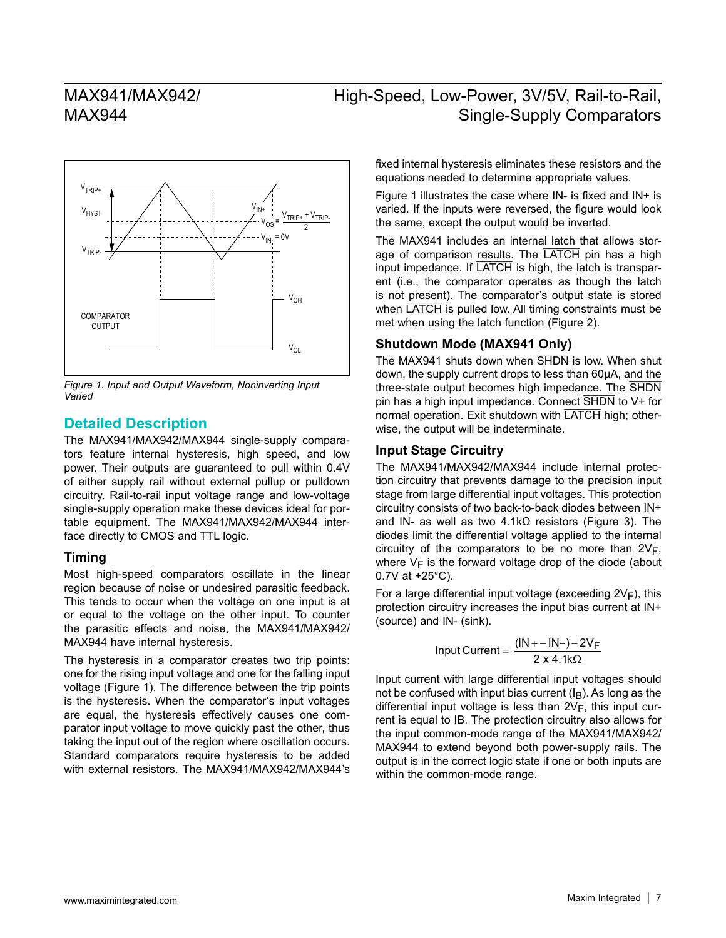## High-Speed, Low-Power, 3V/5V, Rail-to-Rail, Single-Supply Comparators



*Figure 1. Input and Output Waveform, Noninverting Input Varied*

#### **Detailed Description**

The MAX941/MAX942/MAX944 single-supply comparators feature internal hysteresis, high speed, and low power. Their outputs are guaranteed to pull within 0.4V of either supply rail without external pullup or pulldown circuitry. Rail-to-rail input voltage range and low-voltage single-supply operation make these devices ideal for portable equipment. The MAX941/MAX942/MAX944 interface directly to CMOS and TTL logic.

#### **Timing**

Most high-speed comparators oscillate in the linear region because of noise or undesired parasitic feedback. This tends to occur when the voltage on one input is at or equal to the voltage on the other input. To counter the parasitic effects and noise, the MAX941/MAX942/ MAX944 have internal hysteresis.

The hysteresis in a comparator creates two trip points: one for the rising input voltage and one for the falling input voltage (Figure 1). The difference between the trip points is the hysteresis. When the comparator's input voltages are equal, the hysteresis effectively causes one comparator input voltage to move quickly past the other, thus taking the input out of the region where oscillation occurs. Standard comparators require hysteresis to be added with external resistors. The MAX941/MAX942/MAX944's

fixed internal hysteresis eliminates these resistors and the equations needed to determine appropriate values.

Figure 1 illustrates the case where IN- is fixed and IN+ is varied. If the inputs were reversed, the figure would look the same, except the output would be inverted.

The MAX941 includes an internal latch that allows storage of comparison results. The LATCH pin has a high input impedance. If LATCH is high, the latch is transparent (i.e., the comparator operates as though the latch is not present). The comparator's output state is stored when **LATCH** is pulled low. All timing constraints must be met when using the latch function (Figure 2).

#### **Shutdown Mode (MAX941 Only)**

The MAX941 shuts down when SHDN is low. When shut down, the supply current drops to less than 60μA, and the three-state output becomes high impedance. The SHDN pin has a high input impedance. Connect SHDN to V+ for normal operation. Exit shutdown with LATCH high; otherwise, the output will be indeterminate.

#### **Input Stage Circuitry**

The MAX941/MAX942/MAX944 include internal protection circuitry that prevents damage to the precision input stage from large differential input voltages. This protection circuitry consists of two back-to-back diodes between IN+ and IN- as well as two 4.1kΩ resistors (Figure 3). The diodes limit the differential voltage applied to the internal circuitry of the comparators to be no more than  $2V_F$ , where  $V_F$  is the forward voltage drop of the diode (about 0.7V at +25°C).

For a large differential input voltage (exceeding  $2V_F$ ), this protection circuitry increases the input bias current at IN+ (source) and IN- (sink).

$$
Input Current = \frac{(IN + - IN -) - 2V_F}{2 \times 4.1k\Omega}
$$

Input current with large differential input voltages should not be confused with input bias current  $(I<sub>B</sub>)$ . As long as the differential input voltage is less than  $2V_F$ , this input current is equal to IB. The protection circuitry also allows for the input common-mode range of the MAX941/MAX942/ MAX944 to extend beyond both power-supply rails. The output is in the correct logic state if one or both inputs are within the common-mode range.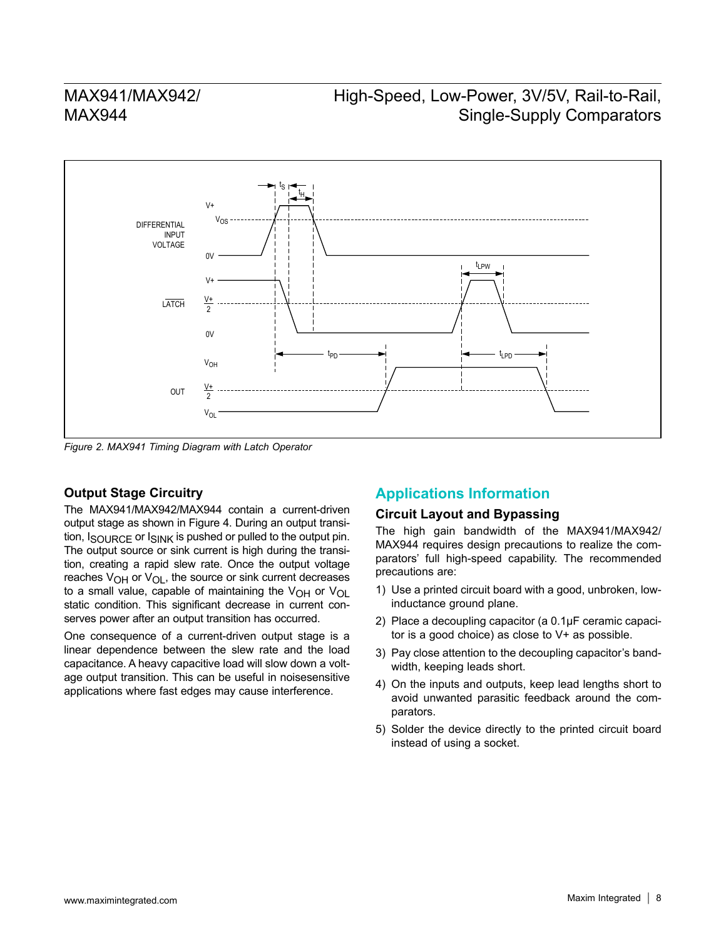## High-Speed, Low-Power, 3V/5V, Rail-to-Rail, Single-Supply Comparators



*Figure 2. MAX941 Timing Diagram with Latch Operator*

#### **Output Stage Circuitry**

The MAX941/MAX942/MAX944 contain a current-driven output stage as shown in Figure 4. During an output transition,  $I_{\text{SOLIRCF}}$  or  $I_{\text{SINK}}$  is pushed or pulled to the output pin. The output source or sink current is high during the transition, creating a rapid slew rate. Once the output voltage reaches  $V_{\Omega}$  or  $V_{\Omega}$ , the source or sink current decreases to a small value, capable of maintaining the  $V_{OH}$  or  $V_{OL}$ static condition. This significant decrease in current conserves power after an output transition has occurred.

One consequence of a current-driven output stage is a linear dependence between the slew rate and the load capacitance. A heavy capacitive load will slow down a voltage output transition. This can be useful in noisesensitive applications where fast edges may cause interference.

#### **Applications Information**

#### **Circuit Layout and Bypassing**

The high gain bandwidth of the MAX941/MAX942/ MAX944 requires design precautions to realize the comparators' full high-speed capability. The recommended precautions are:

- 1) Use a printed circuit board with a good, unbroken, lowinductance ground plane.
- 2) Place a decoupling capacitor (a 0.1μF ceramic capacitor is a good choice) as close to V+ as possible.
- 3) Pay close attention to the decoupling capacitor's bandwidth, keeping leads short.
- 4) On the inputs and outputs, keep lead lengths short to avoid unwanted parasitic feedback around the comparators.
- 5) Solder the device directly to the printed circuit board instead of using a socket.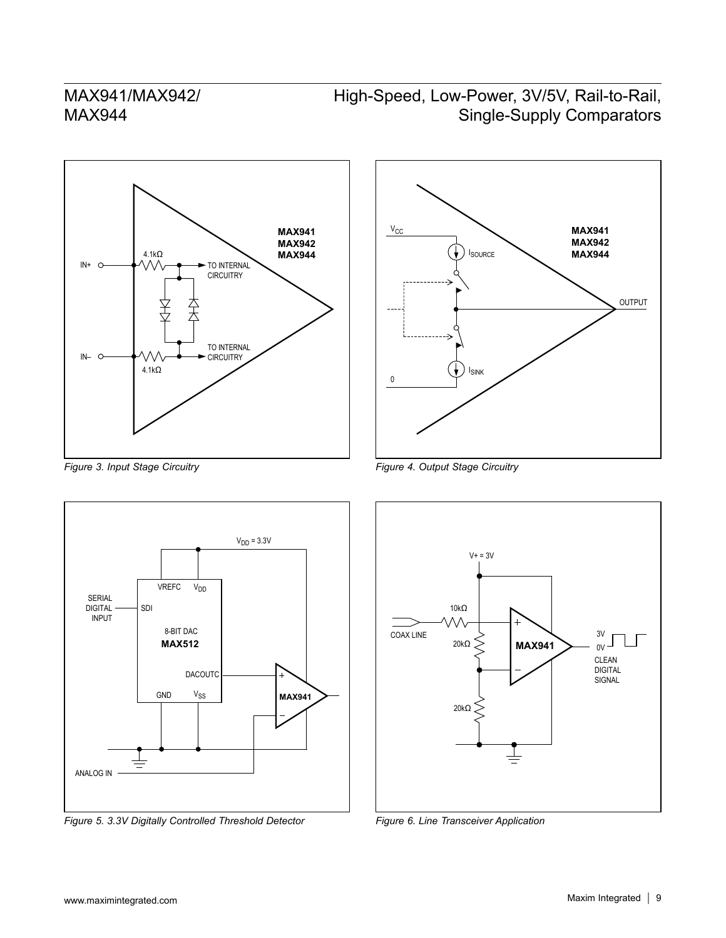# High-Speed, Low-Power, 3V/5V, Rail-to-Rail, Single-Supply Comparators





*Figure 3. Input Stage Circuitry*



*Figure 5. 3.3V Digitally Controlled Threshold Detector*

*Figure 4. Output Stage Circuitry*



*Figure 6. Line Transceiver Application*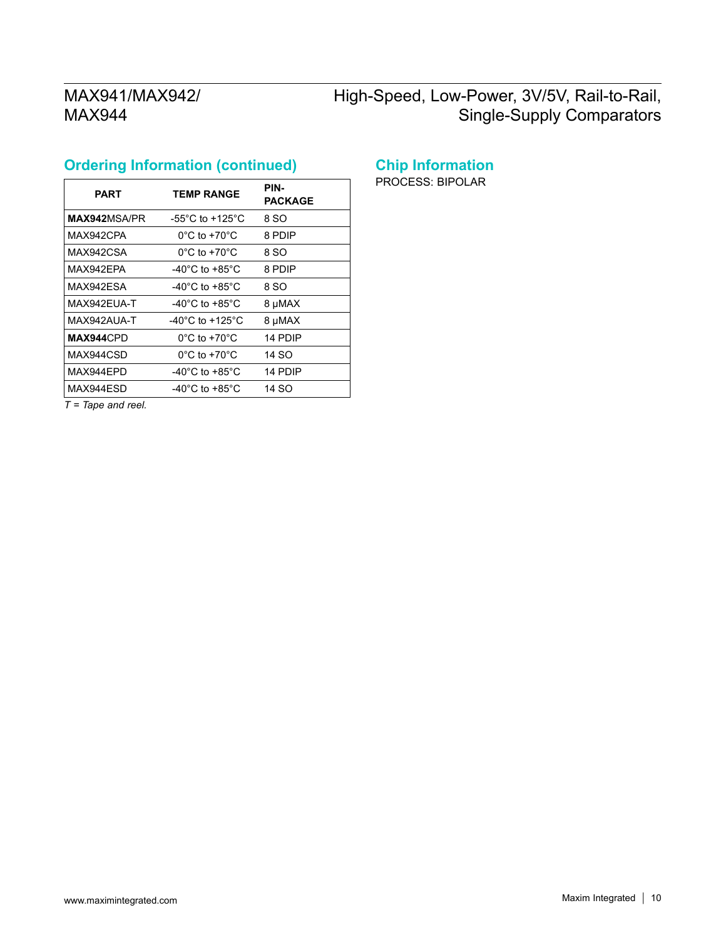# High-Speed, Low-Power, 3V/5V, Rail-to-Rail, Single-Supply Comparators

# **Ordering Information (continued)**

| PART         | <b>TEMP RANGE</b>                   | PIN-<br><b>PACKAGE</b> |
|--------------|-------------------------------------|------------------------|
| MAX942MSA/PR | $-55^{\circ}$ C to $+125^{\circ}$ C | 8 SO                   |
| MAX942CPA    | $0^{\circ}$ C to +70 $^{\circ}$ C   | 8 PDIP                 |
| MAX942CSA    | $0^{\circ}$ C to +70 $^{\circ}$ C   | 8 SO                   |
| MAX942EPA    | -40°C to +85°C                      | 8 PDIP                 |
| MAX942ESA    | -40°C to +85°C                      | 8 SO                   |
| MAX942FUA-T  | $-40^{\circ}$ C to $+85^{\circ}$ C  | 8 µMAX                 |
| MAX942AUA-T  | -40°C to +125°C                     | 8 µMAX                 |
| MAX944CPD    | $0^{\circ}$ C to +70 $^{\circ}$ C   | 14 PDIP                |
| MAX944CSD    | $0^{\circ}$ C to +70 $^{\circ}$ C   | 14 SO                  |
| MAX944EPD    | $-40^{\circ}$ C to $+85^{\circ}$ C  | 14 PDIP                |
| MAX944ESD    | -40°C to +85°C                      | 14 SO                  |

#### **Chip Information**

PROCESS: BIPOLAR

*T = Tape and reel.*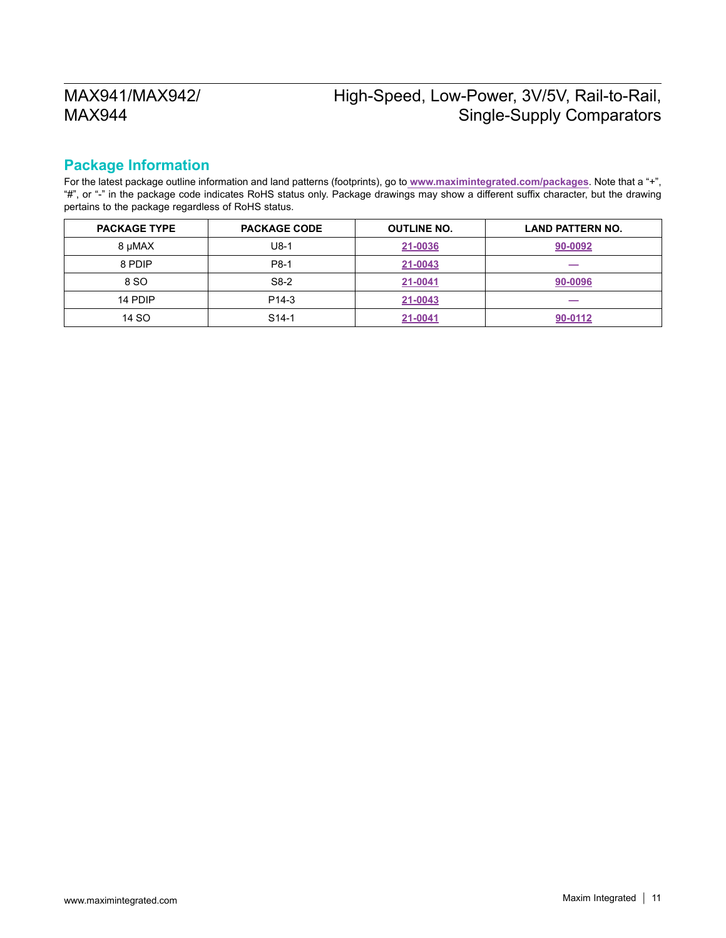# High-Speed, Low-Power, 3V/5V, Rail-to-Rail, Single-Supply Comparators

#### **Package Information**

For the latest package outline information and land patterns (footprints), go to **[www.maximintegrated.com/packages](http://www.maximintegrated.com/packages)**. Note that a "+", "#", or "-" in the package code indicates RoHS status only. Package drawings may show a different suffix character, but the drawing pertains to the package regardless of RoHS status.

| <b>PACKAGE TYPE</b> | <b>PACKAGE CODE</b> | <b>OUTLINE NO.</b> | <b>LAND PATTERN NO.</b> |
|---------------------|---------------------|--------------------|-------------------------|
| 8 µMAX              | $U8-1$              | 21-0036            | 90-0092                 |
| 8 PDIP              | P8-1                | 21-0043            | $-$                     |
| 8 SO                | S8-2                | 21-0041            | 90-0096                 |
| 14 PDIP             | P <sub>14-3</sub>   | 21-0043            |                         |
| 14 SO               | S <sub>14</sub> -1  | 21-0041            | 90-0112                 |